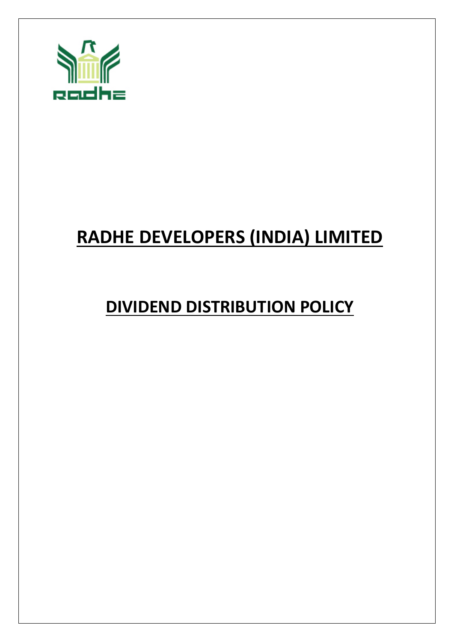

# **RADHE DEVELOPERS (INDIA) LIMITED**

## **DIVIDEND DISTRIBUTION POLICY**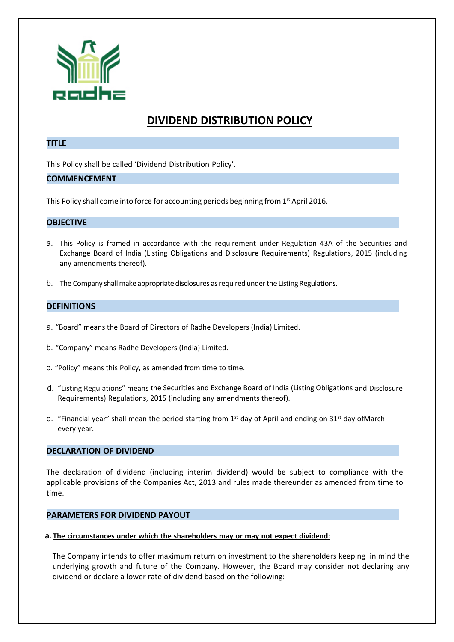

### **DIVIDEND DISTRIBUTION POLICY**

#### **TITLE**

This Policy shall be called 'Dividend Distribution Policy'.

#### **COMMENCEMENT**

This Policy shall come into force for accounting periods beginning from 1<sup>st</sup> April 2016.

#### **OBJECTIVE**

- a. This Policy is framed in accordance with the requirement under Regulation 43A of the Securities and Exchange Board of India (Listing Obligations and Disclosure Requirements) Regulations, 2015 (including any amendments thereof).
- b. The Company shall make appropriate disclosures as required under the Listing Regulations.

#### **DEFINITIONS**

- a. "Board" means the Board of Directors of Radhe Developers (India) Limited.
- b. "Company" means Radhe Developers (India) Limited.
- c. "Policy" means this Policy, as amended from time to time.
- d. "Listing Regulations" means the Securities and Exchange Board of India (Listing Obligations and Disclosure Requirements) Regulations, 2015 (including any amendments thereof).
- e. "Financial year" shall mean the period starting from  $1<sup>st</sup>$  day of April and ending on  $31<sup>st</sup>$  day of March every year.

#### **DECLARATION OF DIVIDEND**

The declaration of dividend (including interim dividend) would be subject to compliance with the applicable provisions of the Companies Act, 2013 and rules made thereunder as amended from time to time.

#### **PARAMETERS FOR DIVIDEND PAYOUT**

#### **a. The circumstances under which the shareholders may or may not expect dividend:**

The Company intends to offer maximum return on investment to the shareholders keeping in mind the underlying growth and future of the Company. However, the Board may consider not declaring any dividend or declare a lower rate of dividend based on the following: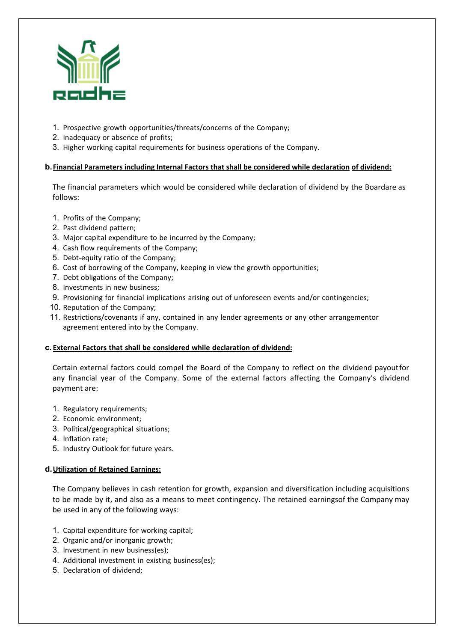

- 1. Prospective growth opportunities/threats/concerns of the Company;
- 2. Inadequacy or absence of profits;
- 3. Higher working capital requirements for business operations of the Company.

#### **b. Financial Parameters including Internal Factors that shall be considered while declaration of dividend:**

The financial parameters which would be considered while declaration of dividend by the Boardare as follows:

- 1. Profits of the Company;
- 2. Past dividend pattern;
- 3. Major capital expenditure to be incurred by the Company;
- 4. Cash flow requirements of the Company;
- 5. Debt‐equity ratio of the Company;
- 6. Cost of borrowing of the Company, keeping in view the growth opportunities;
- 7. Debt obligations of the Company;
- 8. Investments in new business;
- 9. Provisioning for financial implications arising out of unforeseen events and/or contingencies;
- 10. Reputation of the Company;
- 11. Restrictions/covenants if any, contained in any lender agreements or any other arrangementor agreement entered into by the Company.

#### **c. External Factors that shall be considered while declaration of dividend:**

Certain external factors could compel the Board of the Company to reflect on the dividend payout for any financial year of the Company. Some of the external factors affecting the Company's dividend payment are:

- 1. Regulatory requirements;
- 2. Economic environment;
- 3. Political/geographical situations;
- 4. Inflation rate;
- 5. Industry Outlook for future years.

#### **d. Utilization of Retained Earnings:**

The Company believes in cash retention for growth, expansion and diversification including acquisitions to be made by it, and also as a means to meet contingency. The retained earnings of the Company may be used in any of the following ways:

- 1. Capital expenditure for working capital;
- 2. Organic and/or inorganic growth;
- 3. Investment in new business(es);
- 4. Additional investment in existing business(es);
- 5. Declaration of dividend;